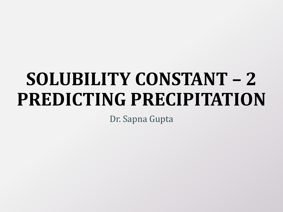# **SOLUBILITY CONSTANT – 2 PREDICTING PRECIPITATION**

Dr. Sapna Gupta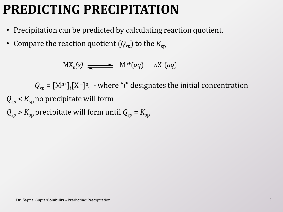### **PREDICTING PRECIPITATION**

- Precipitation can be predicted by calculating reaction quotient.
- Compare the reaction quotient  $(Q_{sp})$  to the  $K_{sp}$

 $\mathsf{M}(\mathsf{X}_n(\mathsf{s}) \longrightarrow \mathsf{M}^{\mathsf{n}+}(aq) + n\mathsf{X}^{\mathsf{n}}(aq)$ 

 $Q_{sp} = [M^{n+}]_i [X^-]^{n}$ <sub>i</sub> - where "*i*" designates the initial concentration  $Q_{\rm SD} \leq K_{\rm SD}$  no precipitate will form

 $Q_{\rm SD}$  >  $K_{\rm SD}$  precipitate will form until  $Q_{\rm SD}$  =  $K_{\rm SD}$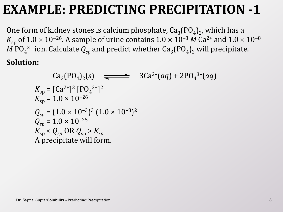### **EXAMPLE: PREDICTING PRECIPITATION -1**

One form of kidney stones is calcium phosphate,  $\text{Ca}_{3}\text{(PO}_{4}\text{)}_{2}$ , which has a  $K_{\mathrm{sp}}$  of  $1.0 \times 10^{-26}$ . A sample of urine contains  $1.0 \times 10^{-3}$  *M* Ca<sup>2+</sup> and  $1.0 \times 10^{-8}$  $M$   ${\rm PO_4}^{3-}$  ion. Calculate  $Q_{sp}$  and predict whether  ${\rm Ca_3(PO_4)_2}$  will precipitate.

**Solution:**

 $Ca_3(PO_4)_2(s)$   $\longrightarrow$   $3Ca^{2+}(aq) + 2PO_4^{3-}(aq)$  $K_{\rm sp} = [Ca^{2+}]^3 [PO_4^{3-}]^2$  $K_{\rm sn} = 1.0 \times 10^{-26}$  $Q_{sp} = (1.0 \times 10^{-3})^3 (1.0 \times 10^{-8})^2$  $Q_{\rm sn} = 1.0 \times 10^{-25}$  $K_{\rm SD}$  <  $Q_{\rm SD}$  OR  $Q_{\rm SD}$  >  $K_{\rm SD}$ A precipitate will form.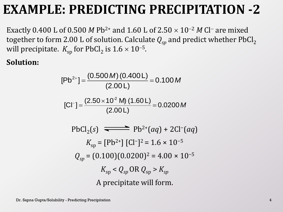### **EXAMPLE: PREDICTING PRECIPITATION -2**

Exactly 0.400 L of 0.500 *M* Pb<sup>2+</sup> and 1.60 L of 2.50  $\times$  10<sup>-2</sup> *M* Cl<sup>-</sup> are mixed together to form 2.00 L of solution. Calculate  $Q_{sp}$  and predict whether PbCl<sub>2</sub> will precipitate.  $K_{\rm sp}$  for PbCl<sub>2</sub> is  $1.6 \times 10^{-5}$ .

#### **Solution:**

$$
[Pb2+] = \frac{(0.500 \text{ M})(0.400 \text{ L})}{(2.00 \text{ L})} = 0.100 \text{ M}
$$

$$
[Cl^-] = \frac{(2.50 \times 10^2 \text{ M})(1.60 \text{ L})}{(2.00 \text{ L})} = 0.0200 \text{ M}
$$

PbCl<sub>2</sub>(s) 
$$
\longrightarrow
$$
 Pb<sup>2+</sup>(aq) + 2Cl<sup>-</sup>(aq)  
\n $K_{sp} = [Pb^{2+}] [Cl^{-}]^2 = 1.6 \times 10^{-5}$   
\n $Q_{sp} = (0.100)(0.0200)^2 = 4.00 \times 10^{-5}$   
\n $K_{sp} < Q_{sp} \text{ OR } Q_{sp} > K_{sp}$   
\nA precipitate will form.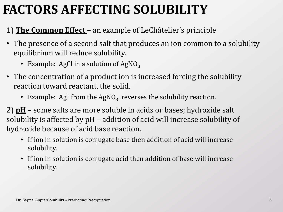## **FACTORS AFFECTING SOLUBILITY**

#### 1) **The Common Effect** – an example of LeChâtelier's principle

- The presence of a second salt that produces an ion common to a solubility equilibrium will reduce solubility.
	- Example: AgCl in a solution of AgNO<sub>3</sub>
- The concentration of a product ion is increased forcing the solubility reaction toward reactant, the solid.
	- Example:  $Ag^+$  from the AgNO<sub>3</sub>, reverses the solubility reaction.

2) **pH** – some salts are more soluble in acids or bases; hydroxide salt solubility is affected by pH – addition of acid will increase solubility of hydroxide because of acid base reaction.

- If ion in solution is conjugate base then addition of acid will increase solubility.
- If ion in solution is conjugate acid then addition of base will increase solubility.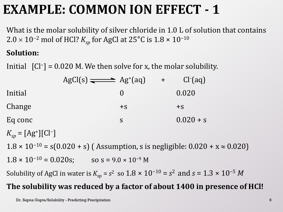### **EXAMPLE: COMMON ION EFFECT - 1**

What is the molar solubility of silver chloride in 1.0 L of solution that contains 2.0 × 10<sup>-2</sup> mol of HCl?  $K_{sp}$  for AgCl at 25°C is 1.8 × 10<sup>-10</sup>

#### **Solution:**

Initial  $\begin{bmatrix} Cl^- \end{bmatrix}$  = 0.020 M. We then solve for x, the molar solubility.

|                                 | $AgCl(s) \rightleftharpoons Ag+(aq)$ | $+$ | $Cl-(aq)$   |  |
|---------------------------------|--------------------------------------|-----|-------------|--|
| Initial                         |                                      |     | 0.020       |  |
| Change                          | $+S$                                 |     | $+S$        |  |
| Eq conc                         | S                                    |     | $0.020 + s$ |  |
| <b>EA JEALT</b><br>$\mathbf{r}$ |                                      |     |             |  |

 $K_{sp} = [Ag^+][Cl^-]$ 

 $1.8 \times 10^{-10} = s(0.020 + s)$  (Assumption, s is negligible:  $0.020 + x \approx 0.020$ )

 $1.8 \times 10^{-10} = 0.020$ s; so s =  $9.0 \times 10^{-9}$  M

Solubility of AgCl in water is  $K_{\text{sp}} = s^2$  so  $1.8 \times 10^{-10} = s^2$  and  $s = 1.3 \times 10^{-5}$  *M* 

#### **The solubility was reduced by a factor of about 1400 in presence of HCl!**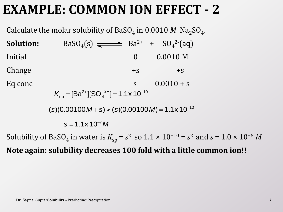### **EXAMPLE: COMMON ION EFFECT - 2**

Calculate the molar solubility of BaSO<sub>4</sub> in 0.0010 M  $\mathrm{Na_{2}SO_{4}}$ *.*

**Solution:**  $(s) \implies Ba^{2+} + SO_4^{2-}(aq)$ Initial 0 0.0010 M Change  $+s$  +s Eq conc  $s = 0.0010 + s$  $2 - 1 - 11 \times 10^{-10}$ 4  $K_{\rm sp} = [Ba^{2+}][SO_4^{2-}] = 1.1 \times 10^{-1}$  $(s)(0.00100 M + s) \approx (s)(0.00100 M) = 1.1 \times 10^{-10}$  $s = 1.1 \times 10^{-7} M$ 

Solubility of BaSO<sub>4</sub> in water is  $K_{\text{sp}} = s^2$  so 1.1 × 10<sup>-10</sup> =  $s^2$  and  $s = 1.0 \times 10^{-5}$  *M* **Note again: solubility decreases 100 fold with a little common ion!!**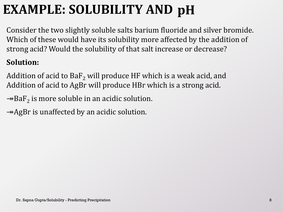# **EXAMPLE: SOLUBILITY AND pH**

Consider the two slightly soluble salts barium fluoride and silver bromide. Which of these would have its solubility more affected by the addition of strong acid? Would the solubility of that salt increase or decrease?

#### **Solution:**

Addition of acid to  $BaF<sub>2</sub>$  will produce HF which is a weak acid, and Addition of acid to AgBr will produce HBr which is a strong acid.

 $\rightarrow$ BaF<sub>2</sub> is more soluble in an acidic solution.

 $\rightarrow$ AgBr is unaffected by an acidic solution.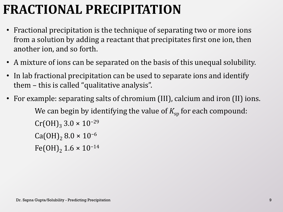## **FRACTIONAL PRECIPITATION**

- Fractional precipitation is the technique of separating two or more ions from a solution by adding a reactant that precipitates first one ion, then another ion, and so forth.
- A mixture of ions can be separated on the basis of this unequal solubility.
- In lab fractional precipitation can be used to separate ions and identify them – this is called "qualitative analysis".
- For example: separating salts of chromium (III), calcium and iron (II) ions. We can begin by identifying the value of  $K_{\rm{sp}}$  for each compound:  $Cr(OH)<sub>3</sub> 3.0 \times 10^{-29}$ Ca(OH)<sub>2</sub> 8.0 × 10<sup>-6</sup> Fe(OH)<sub>2</sub> 1.6 × 10<sup>-14</sup>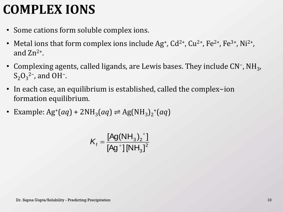### **COMPLEX IONS**

- Some cations form soluble complex ions.
- Metal ions that form complex ions include  $Ag^{\dagger}$ ,  $Cd^{2\dagger}$ ,  $Cu^{2\dagger}$ ,  $Fe^{2\dagger}$ ,  $Fe^{3\dagger}$ , Ni<sup>2</sup><sup>+</sup>, and  $Zn^{2+}$ .
- Complexing agents, called ligands, are Lewis bases. They include CN<sup>-</sup>, NH<sub>3</sub>,  $S_2O_3^2$ <sup>2-</sup>, and OH<sup>-</sup>.
- In each case, an equilibrium is established, called the complex−ion formation equilibrium.
- Example:  $Ag^+(aq) + 2NH_3(aq) \rightleftharpoons Ag(NH_3)_2^+(aq)$

$$
\mathcal{K}_{\mathsf{f}}=\frac{[\mathsf{Ag(NH}_{3})_2^{\mathsf{+}}]}{[\mathsf{Ag^+}][\mathsf{NH}_3]^2}
$$
Dr. Sapna Gupta/Solubility - Predicting Precipitation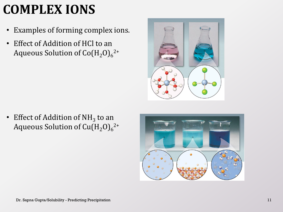# **COMPLEX IONS**

- Examples of forming complex ions.
- Effect of Addition of HCl to an Aqueous Solution of Co $\left({\rm H_2O}\right)_{6}$ 2+



• Effect of Addition of  $NH<sub>3</sub>$  to an Aqueous Solution of Cu $\left({\rm H_2O}\right)_{6}$ <sup>2+</sup>